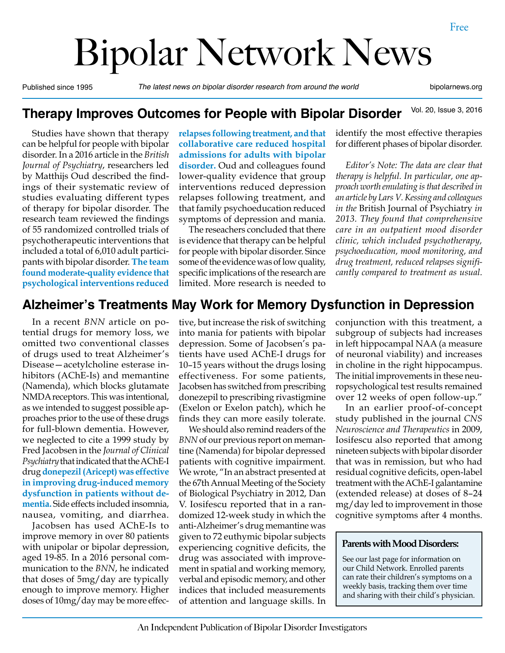# Bipolar Network News

Published since 1995 *The latest news on bipolar disorder research from around the world* bipolarnews.org

#### Vol. 20, Issue 3, 2016 **Therapy Improves Outcomes for People with Bipolar Disorder**

Studies have shown that therapy can be helpful for people with bipolar disorder. In a 2016 article in the *British Journal of Psychiatry*, researchers led by Matthijs Oud described the findings of their systematic review of studies evaluating different types of therapy for bipolar disorder. The research team reviewed the findings of 55 randomized controlled trials of psychotherapeutic interventions that included a total of 6,010 adult participants with bipolar disorder. **The team found moderate-quality evidence that psychological interventions reduced** 

**relapses following treatment, and that collaborative care reduced hospital admissions for adults with bipolar disorder.** Oud and colleagues found lower-quality evidence that group interventions reduced depression relapses following treatment, and that family psychoeducation reduced symptoms of depression and mania.

The reseachers concluded that there is evidence that therapy can be helpful for people with bipolar disorder. Since some of the evidence was of low quality, specific implications of the research are limited. More research is needed to

identify the most effective therapies for different phases of bipolar disorder.

*Editor's Note: The data are clear that therapy is helpful. In particular, one approach worth emulating is that described in an article by Lars V. Kessing and colleagues in the* British Journal of Psychiatry *in 2013. They found that comprehensive care in an outpatient mood disorder clinic, which included psychotherapy, psychoeducation, mood monitoring, and drug treatment, reduced relapses significantly compared to treatment as usual.*

## **Alzheimer's Treatments May Work for Memory Dysfunction in Depression**

In a recent *BNN* article on potential drugs for memory loss, we omitted two conventional classes of drugs used to treat Alzheimer's Disease—acetylcholine esterase inhibitors (AChE-Is) and memantine (Namenda), which blocks glutamate NMDA receptors. This was intentional, as we intended to suggest possible approaches prior to the use of these drugs for full-blown dementia. However, we neglected to cite a 1999 study by Fred Jacobsen in the *Journal of Clinical Psychiatry* that indicated that the AChE-I drug **donepezil (Aricept) was effective in improving drug-induced memory dysfunction in patients without dementia.** Side effects included insomnia, nausea, vomiting, and diarrhea.

Jacobsen has used AChE-Is to improve memory in over 80 patients with unipolar or bipolar depression, aged 19-85. In a 2016 personal communication to the *BNN*, he indicated that doses of 5mg/day are typically enough to improve memory. Higher doses of 10mg/day may be more effec-

tive, but increase the risk of switching into mania for patients with bipolar depression. Some of Jacobsen's patients have used AChE-I drugs for 10–15 years without the drugs losing effectiveness. For some patients, Jacobsen has switched from prescribing donezepil to prescribing rivastigmine (Exelon or Exelon patch), which he finds they can more easily tolerate.

We should also remind readers of the *BNN* of our previous report on memantine (Namenda) for bipolar depressed patients with cognitive impairment. We wrote, "In an abstract presented at the 67th Annual Meeting of the Society of Biological Psychiatry in 2012, Dan V. Iosifescu reported that in a randomized 12-week study in which the anti-Alzheimer's drug memantine was given to 72 euthymic bipolar subjects experiencing cognitive deficits, the drug was associated with improvement in spatial and working memory, verbal and episodic memory, and other indices that included measurements of attention and language skills. In conjunction with this treatment, a subgroup of subjects had increases in left hippocampal NAA (a measure of neuronal viability) and increases in choline in the right hippocampus. The initial improvements in these neuropsychological test results remained over 12 weeks of open follow-up."

In an earlier proof-of-concept study published in the journal *CNS Neuroscience and Therapeutics* in 2009, Iosifescu also reported that among nineteen subjects with bipolar disorder that was in remission, but who had residual cognitive deficits, open-label treatment with the AChE-I galantamine (extended release) at doses of 8–24 mg/day led to improvement in those cognitive symptoms after 4 months.

#### **Parents with Mood Disorders:**

See our last page for information on our Child Network. Enrolled parents can rate their children's symptoms on a weekly basis, tracking them over time and sharing with their child's physician.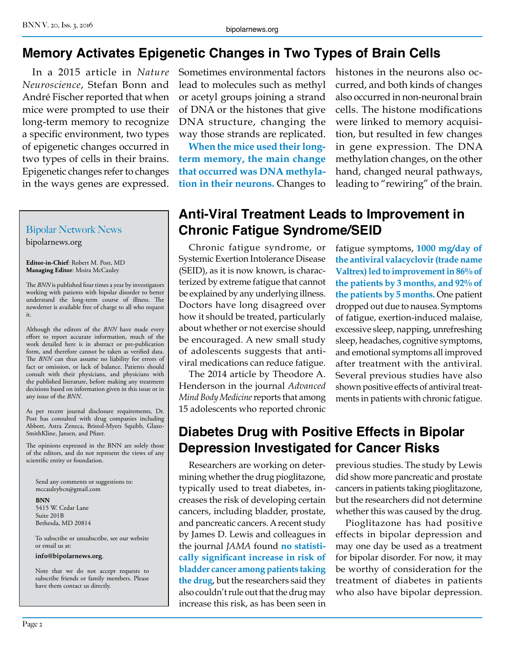## **Memory Activates Epigenetic Changes in Two Types of Brain Cells**

In a 2015 article in *Nature Neuroscience*, Stefan Bonn and André Fischer reported that when mice were prompted to use their long-term memory to recognize a specific environment, two types of epigenetic changes occurred in two types of cells in their brains. Epigenetic changes refer to changes in the ways genes are expressed.

# Bipolar Network News

bipolarnews.org

**Editor-in-Chief**: Robert M. Post, MD **Managing Editor**: Moira McCauley

The *BNN* is published four times a year by investigators working with patients with bipolar disorder to better understand the long-term course of illness. The newsletter is available free of charge to all who request it.

Although the editors of the *BNN* have made every effort to report accurate information, much of the work detailed here is in abstract or pre-publication form, and therefore cannot be taken as verified data. The *BNN* can thus assume no liability for errors of fact or omission, or lack of balance. Patients should consult with their physicians, and physicians with the published literature, before making any treatment decisions based on information given in this issue or in any issue of the *BNN*.

As per recent journal disclosure requirements, Dr. Post has consulted with drug companies including Abbott, Astra Zeneca, Bristol-Myers Squibb, Glaxo-SmithKline, Jansen, and Pfizer.

The opinions expressed in the BNN are solely those of the editors, and do not represent the views of any scientific entity or foundation.

Send any comments or suggestions to: mccauleybcn@gmail.com

#### **BNN**

5415 W. Cedar Lane Suite 201B Bethesda, MD 20814

To subscribe or unsubscribe, see our website or email us at:

#### **info@bipolarnews.org**.

Note that we do not accept requests to subscribe friends or family members. Please have them contact us directly.

Sometimes environmental factors lead to molecules such as methyl or acetyl groups joining a strand of DNA or the histones that give DNA structure, changing the way those strands are replicated.

**When the mice used their longterm memory, the main change that occurred was DNA methylation in their neurons.** Changes to histones in the neurons also occurred, and both kinds of changes also occurred in non-neuronal brain cells. The histone modifications were linked to memory acquisition, but resulted in few changes in gene expression. The DNA methylation changes, on the other hand, changed neural pathways, leading to "rewiring" of the brain.

## **Anti-Viral Treatment Leads to Improvement in Chronic Fatigue Syndrome/SEID**

Chronic fatigue syndrome, or Systemic Exertion Intolerance Disease (SEID), as it is now known, is characterized by extreme fatigue that cannot be explained by any underlying illness. Doctors have long disagreed over how it should be treated, particularly about whether or not exercise should be encouraged. A new small study of adolescents suggests that antiviral medications can reduce fatigue.

The 2014 article by Theodore A. Henderson in the journal *Advanced Mind Body Medicine* reports that among 15 adolescents who reported chronic

fatigue symptoms, **1000 mg/day of the antiviral valacyclovir (trade name Valtrex) led to improvement in 86% of the patients by 3 months, and 92% of the patients by 5 months.** One patient dropped out due to nausea. Symptoms of fatigue, exertion-induced malaise, excessive sleep, napping, unrefreshing sleep, headaches, cognitive symptoms, and emotional symptoms all improved after treatment with the antiviral. Several previous studies have also shown positive effects of antiviral treatments in patients with chronic fatigue.

## **Diabetes Drug with Positive Effects in Bipolar Depression Investigated for Cancer Risks**

Researchers are working on determining whether the drug pioglitazone, typically used to treat diabetes, increases the risk of developing certain cancers, including bladder, prostate, and pancreatic cancers. A recent study by James D. Lewis and colleagues in the journal *JAMA* found **no statistically significant increase in risk of bladder cancer among patients taking the drug**, but the researchers said they also couldn't rule out that the drug may increase this risk, as has been seen in

previous studies. The study by Lewis did show more pancreatic and prostate cancers in patients taking pioglitazone, but the researchers did not determine whether this was caused by the drug.

Pioglitazone has had positive effects in bipolar depression and may one day be used as a treatment for bipolar disorder. For now, it may be worthy of consideration for the treatment of diabetes in patients who also have bipolar depression.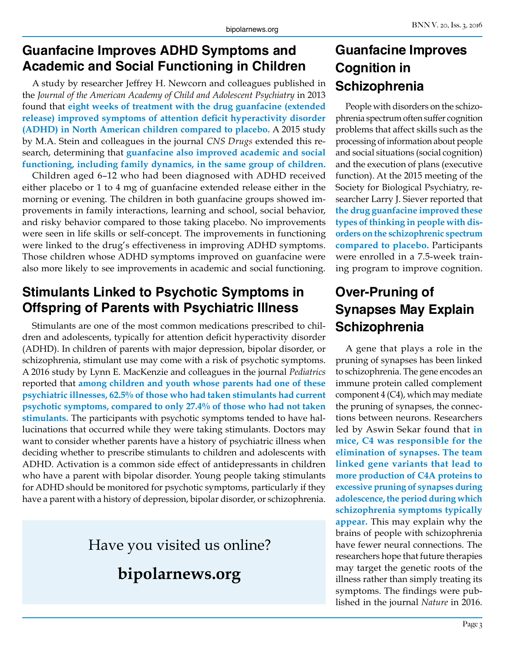## **Guanfacine Improves ADHD Symptoms and Academic and Social Functioning in Children**

A study by researcher Jeffrey H. Newcorn and colleagues published in the *Journal of the American Academy of Child and Adolescent Psychiatry* in 2013 found that **eight weeks of treatment with the drug guanfacine (extended release) improved symptoms of attention deficit hyperactivity disorder (ADHD) in North American children compared to placebo.** A 2015 study by M.A. Stein and colleagues in the journal *CNS Drugs* extended this research, determining that **guanfacine also improved academic and social functioning, including family dynamics, in the same group of children.**

Children aged 6–12 who had been diagnosed with ADHD received either placebo or 1 to 4 mg of guanfacine extended release either in the morning or evening. The children in both guanfacine groups showed improvements in family interactions, learning and school, social behavior, and risky behavior compared to those taking placebo. No improvements were seen in life skills or self-concept. The improvements in functioning were linked to the drug's effectiveness in improving ADHD symptoms. Those children whose ADHD symptoms improved on guanfacine were also more likely to see improvements in academic and social functioning.

## **Stimulants Linked to Psychotic Symptoms in Offspring of Parents with Psychiatric Illness**

Stimulants are one of the most common medications prescribed to children and adolescents, typically for attention deficit hyperactivity disorder (ADHD). In children of parents with major depression, bipolar disorder, or schizophrenia, stimulant use may come with a risk of psychotic symptoms. A 2016 study by Lynn E. MacKenzie and colleagues in the journal *Pediatrics* reported that **among children and youth whose parents had one of these psychiatric illnesses, 62.5% of those who had taken stimulants had current psychotic symptoms, compared to only 27.4% of those who had not taken stimulants.** The participants with psychotic symptoms tended to have hallucinations that occurred while they were taking stimulants. Doctors may want to consider whether parents have a history of psychiatric illness when deciding whether to prescribe stimulants to children and adolescents with ADHD. Activation is a common side effect of antidepressants in children who have a parent with bipolar disorder. Young people taking stimulants for ADHD should be monitored for psychotic symptoms, particularly if they have a parent with a history of depression, bipolar disorder, or schizophrenia.

# Have you visited us online?

**bipolarnews.org**

# **Guanfacine Improves Cognition in Schizophrenia**

People with disorders on the schizophrenia spectrum often suffer cognition problems that affect skills such as the processing of information about people and social situations (social cognition) and the execution of plans (executive function). At the 2015 meeting of the Society for Biological Psychiatry, researcher Larry J. Siever reported that **the drug guanfacine improved these types of thinking in people with disorders on the schizophrenic spectrum compared to placebo.** Participants were enrolled in a 7.5-week training program to improve cognition.

# **Over-Pruning of Synapses May Explain Schizophrenia**

A gene that plays a role in the pruning of synapses has been linked to schizophrenia. The gene encodes an immune protein called complement component 4 (C4), which may mediate the pruning of synapses, the connections between neurons. Researchers led by Aswin Sekar found that **in mice, C4 was responsible for the elimination of synapses. The team linked gene variants that lead to more production of C4A proteins to excessive pruning of synapses during adolescence, the period during which schizophrenia symptoms typically appear.** This may explain why the brains of people with schizophrenia have fewer neural connections. The researchers hope that future therapies may target the genetic roots of the illness rather than simply treating its symptoms. The findings were published in the journal *Nature* in 2016.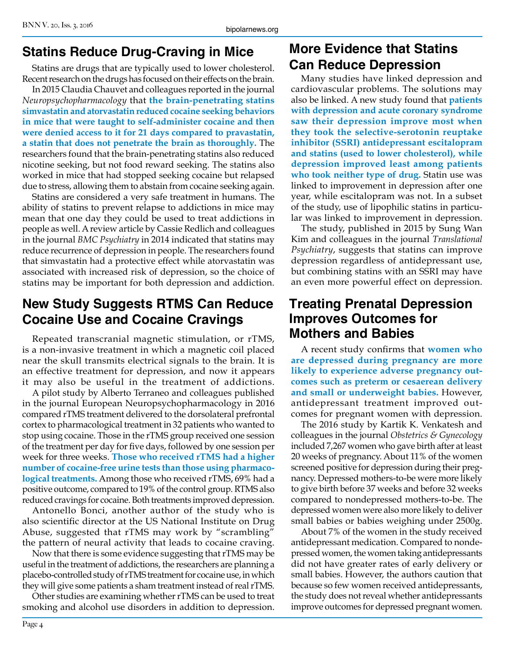#### **Statins Reduce Drug-Craving in Mice**

Statins are drugs that are typically used to lower cholesterol. Recent research on the drugs has focused on their effects on the brain.

In 2015 Claudia Chauvet and colleagues reported in the journal *Neuropsychopharmacology* that **the brain-penetrating statins simvastatin and atorvastatin reduced cocaine seeking behaviors in mice that were taught to self-administer cocaine and then were denied access to it for 21 days compared to pravastatin, a statin that does not penetrate the brain as thoroughly.** The researchers found that the brain-penetrating statins also reduced nicotine seeking, but not food reward seeking. The statins also worked in mice that had stopped seeking cocaine but relapsed due to stress, allowing them to abstain from cocaine seeking again.

Statins are considered a very safe treatment in humans. The ability of statins to prevent relapse to addictions in mice may mean that one day they could be used to treat addictions in people as well. A review article by Cassie Redlich and colleagues in the journal *BMC Psychiatry* in 2014 indicated that statins may reduce recurrence of depression in people. The researchers found that simvastatin had a protective effect while atorvastatin was associated with increased risk of depression, so the choice of statins may be important for both depression and addiction.

#### **New Study Suggests RTMS Can Reduce Cocaine Use and Cocaine Cravings**

Repeated transcranial magnetic stimulation, or rTMS, is a non-invasive treatment in which a magnetic coil placed near the skull transmits electrical signals to the brain. It is an effective treatment for depression, and now it appears it may also be useful in the treatment of addictions.

A pilot study by Alberto Terraneo and colleagues published in the journal European Neuropsychopharmacology in 2016 compared rTMS treatment delivered to the dorsolateral prefrontal cortex to pharmacological treatment in 32 patients who wanted to stop using cocaine. Those in the rTMS group received one session of the treatment per day for five days, followed by one session per week for three weeks. **Those who received rTMS had a higher number of cocaine-free urine tests than those using pharmacological treatments.** Among those who received rTMS, 69% had a positive outcome, compared to 19% of the control group. RTMS also reduced cravings for cocaine. Both treatments improved depression.

Antonello Bonci, another author of the study who is also scientific director at the US National Institute on Drug Abuse, suggested that rTMS may work by "scrambling" the pattern of neural activity that leads to cocaine craving.

Now that there is some evidence suggesting that rTMS may be useful in the treatment of addictions, the researchers are planning a placebo-controlled study of rTMS treatment for cocaine use, in which they will give some patients a sham treatment instead of real rTMS.

Other studies are examining whether rTMS can be used to treat smoking and alcohol use disorders in addition to depression.

## **More Evidence that Statins Can Reduce Depression**

Many studies have linked depression and cardiovascular problems. The solutions may also be linked. A new study found that **patients with depression and acute coronary syndrome saw their depression improve most when they took the selective-serotonin reuptake inhibitor (SSRI) antidepressant escitalopram and statins (used to lower cholesterol), while depression improved least among patients who took neither type of drug.** Statin use was linked to improvement in depression after one year, while escitalopram was not. In a subset of the study, use of lipophilic statins in particular was linked to improvement in depression.

The study, published in 2015 by Sung Wan Kim and colleagues in the journal *Translational Psychiatry*, suggests that statins can improve depression regardless of antidepressant use, but combining statins with an SSRI may have an even more powerful effect on depression.

#### **Treating Prenatal Depression Improves Outcomes for Mothers and Babies**

A recent study confirms that **women who are depressed during pregnancy are more likely to experience adverse pregnancy outcomes such as preterm or cesaerean delivery and small or underweight babies.** However, antidepressant treatment improved outcomes for pregnant women with depression.

The 2016 study by Kartik K. Venkatesh and colleagues in the journal *Obstetrics & Gynecology*  included 7,267 women who gave birth after at least 20 weeks of pregnancy. About 11% of the women screened positive for depression during their pregnancy. Depressed mothers-to-be were more likely to give birth before 37 weeks and before 32 weeks compared to nondepressed mothers-to-be. The depressed women were also more likely to deliver small babies or babies weighing under 2500g.

About 7% of the women in the study received antidepressant medication. Compared to nondepressed women, the women taking antidepressants did not have greater rates of early delivery or small babies. However, the authors caution that because so few women received antidepressants, the study does not reveal whether antidepressants improve outcomes for depressed pregnant women.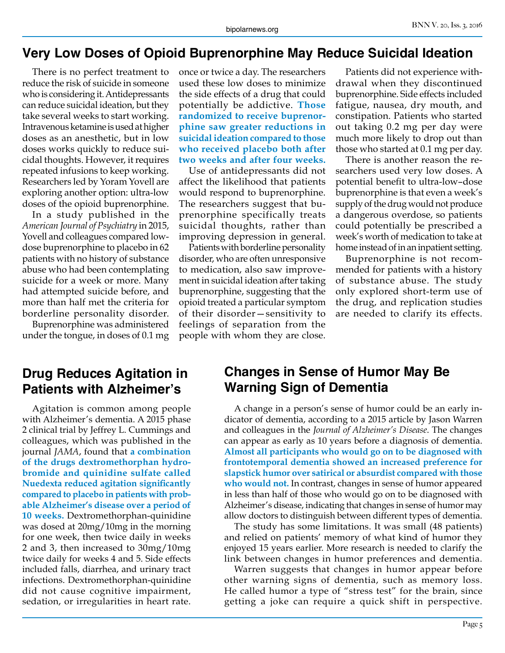#### **Very Low Doses of Opioid Buprenorphine May Reduce Suicidal Ideation**

There is no perfect treatment to reduce the risk of suicide in someone who is considering it. Antidepressants can reduce suicidal ideation, but they take several weeks to start working. Intravenous ketamine is used at higher doses as an anesthetic, but in low doses works quickly to reduce suicidal thoughts. However, it requires repeated infusions to keep working. Researchers led by Yoram Yovell are exploring another option: ultra-low doses of the opioid buprenorphine.

In a study published in the *American Journal of Psychiatry* in 2015, Yovell and colleagues compared lowdose buprenorphine to placebo in 62 patients with no history of substance abuse who had been contemplating suicide for a week or more. Many had attempted suicide before, and more than half met the criteria for borderline personality disorder.

Buprenorphine was administered under the tongue, in doses of 0.1 mg once or twice a day. The researchers used these low doses to minimize the side effects of a drug that could potentially be addictive. **Those randomized to receive buprenorphine saw greater reductions in suicidal ideation compared to those who received placebo both after two weeks and after four weeks.**

Use of antidepressants did not affect the likelihood that patients would respond to buprenorphine. The researchers suggest that buprenorphine specifically treats suicidal thoughts, rather than improving depression in general.

Patients with borderline personality disorder, who are often unresponsive to medication, also saw improvement in suicidal ideation after taking buprenorphine, suggesting that the opioid treated a particular symptom of their disorder—sensitivity to feelings of separation from the people with whom they are close.

Patients did not experience withdrawal when they discontinued buprenorphine. Side effects included fatigue, nausea, dry mouth, and constipation. Patients who started out taking 0.2 mg per day were much more likely to drop out than those who started at 0.1 mg per day.

There is another reason the researchers used very low doses. A potential benefit to ultra-low–dose buprenorphine is that even a week's supply of the drug would not produce a dangerous overdose, so patients could potentially be prescribed a week's worth of medication to take at home instead of in an inpatient setting.

Buprenorphine is not recommended for patients with a history of substance abuse. The study only explored short-term use of the drug, and replication studies are needed to clarify its effects.

#### **Drug Reduces Agitation in Patients with Alzheimer's**

Agitation is common among people with Alzheimer's dementia. A 2015 phase 2 clinical trial by Jeffrey L. Cummings and colleagues, which was published in the journal *JAMA*, found that **a combination of the drugs dextromethorphan hydrobromide and quinidine sulfate called Nuedexta reduced agitation significantly compared to placebo in patients with probable Alzheimer's disease over a period of 10 weeks.** Dextromethorphan-quinidine was dosed at 20mg/10mg in the morning for one week, then twice daily in weeks 2 and 3, then increased to 30mg/10mg twice daily for weeks 4 and 5. Side effects included falls, diarrhea, and urinary tract infections. Dextromethorphan-quinidine did not cause cognitive impairment, sedation, or irregularities in heart rate.

#### **Changes in Sense of Humor May Be Warning Sign of Dementia**

A change in a person's sense of humor could be an early indicator of dementia, according to a 2015 article by Jason Warren and colleagues in the *Journal of Alzheimer's Disease*. The changes can appear as early as 10 years before a diagnosis of dementia. **Almost all participants who would go on to be diagnosed with frontotemporal dementia showed an increased preference for slapstick humor over satirical or absurdist compared with those who would not.** In contrast, changes in sense of humor appeared in less than half of those who would go on to be diagnosed with Alzheimer's disease, indicating that changes in sense of humor may allow doctors to distinguish between different types of dementia.

The study has some limitations. It was small (48 patients) and relied on patients' memory of what kind of humor they enjoyed 15 years earlier. More research is needed to clarify the link between changes in humor preferences and dementia.

Warren suggests that changes in humor appear before other warning signs of dementia, such as memory loss. He called humor a type of "stress test" for the brain, since getting a joke can require a quick shift in perspective.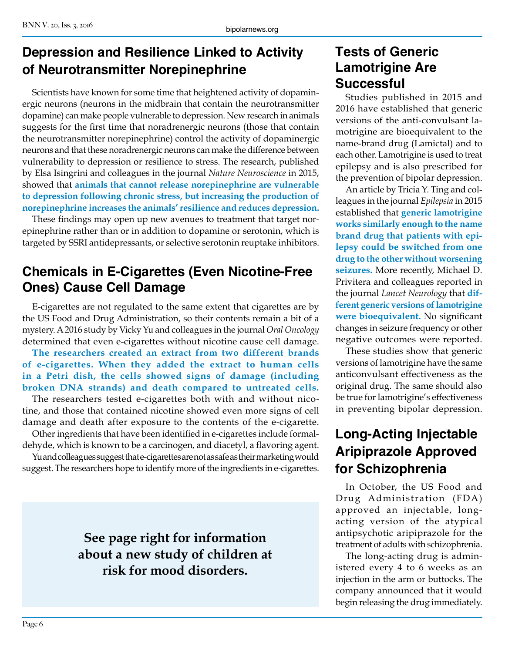# **Depression and Resilience Linked to Activity of Neurotransmitter Norepinephrine**

Scientists have known for some time that heightened activity of dopaminergic neurons (neurons in the midbrain that contain the neurotransmitter dopamine) can make people vulnerable to depression. New research in animals suggests for the first time that noradrenergic neurons (those that contain the neurotransmitter norepinephrine) control the activity of dopaminergic neurons and that these noradrenergic neurons can make the difference between vulnerability to depression or resilience to stress. The research, published by Elsa Isingrini and colleagues in the journal *Nature Neuroscience* in 2015, showed that **animals that cannot release norepinephrine are vulnerable to depression following chronic stress, but increasing the production of norepinephrine increases the animals' resilience and reduces depression.**

These findings may open up new avenues to treatment that target norepinephrine rather than or in addition to dopamine or serotonin, which is targeted by SSRI antidepressants, or selective serotonin reuptake inhibitors.

## **Chemicals in E-Cigarettes (Even Nicotine-Free Ones) Cause Cell Damage**

E-cigarettes are not regulated to the same extent that cigarettes are by the US Food and Drug Administration, so their contents remain a bit of a mystery. A 2016 study by Vicky Yu and colleagues in the journal *Oral Oncology* determined that even e-cigarettes without nicotine cause cell damage.

**The researchers created an extract from two different brands of e-cigarettes. When they added the extract to human cells in a Petri dish, the cells showed signs of damage (including broken DNA strands) and death compared to untreated cells.**

The researchers tested e-cigarettes both with and without nicotine, and those that contained nicotine showed even more signs of cell damage and death after exposure to the contents of the e-cigarette.

Other ingredients that have been identified in e-cigarettes include formaldehyde, which is known to be a carcinogen, and diacetyl, a flavoring agent. Yu and colleagues suggest that e-cigarettes are not as safe as their marketing would

suggest. The researchers hope to identify more of the ingredients in e-cigarettes.

**See page right for information about a new study of children at risk for mood disorders.**

## **Tests of Generic Lamotrigine Are Successful**

Studies published in 2015 and 2016 have established that generic versions of the anti-convulsant lamotrigine are bioequivalent to the name-brand drug (Lamictal) and to each other. Lamotrigine is used to treat epilepsy and is also prescribed for the prevention of bipolar depression.

An article by Tricia Y. Ting and colleagues in the journal *Epilepsia* in 2015 established that **generic lamotrigine works similarly enough to the name brand drug that patients with epilepsy could be switched from one drug to the other without worsening seizures.** More recently, Michael D. Privitera and colleagues reported in the journal *Lancet Neurology* that **different generic versions of lamotrigine were bioequivalent.** No significant changes in seizure frequency or other negative outcomes were reported.

These studies show that generic versions of lamotrigine have the same anticonvulsant effectiveness as the original drug. The same should also be true for lamotrigine's effectiveness in preventing bipolar depression.

# **Long-Acting Injectable Aripiprazole Approved for Schizophrenia**

In October, the US Food and Drug Administration (FDA) approved an injectable, longacting version of the atypical antipsychotic aripiprazole for the treatment of adults with schizophrenia.

The long-acting drug is administered every 4 to 6 weeks as an injection in the arm or buttocks. The company announced that it would begin releasing the drug immediately.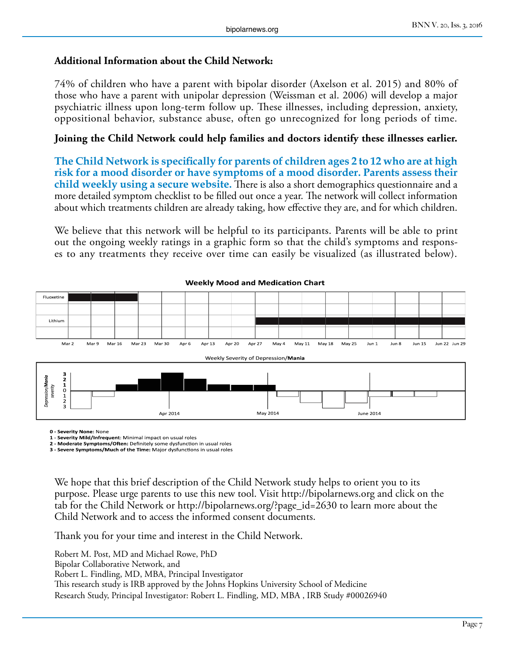#### **Additional Information about the Child Network:**

74% of children who have a parent with bipolar disorder (Axelson et al. 2015) and 80% of those who have a parent with unipolar depression (Weissman et al. 2006) will develop a major psychiatric illness upon long-term follow up. These illnesses, including depression, anxiety, oppositional behavior, substance abuse, often go unrecognized for long periods of time.

#### **Joining the Child Network could help families and doctors identify these illnesses earlier.**

**The Child Network is specifically for parents of children ages 2 to 12 who are at high risk for a mood disorder or have symptoms of a mood disorder. Parents assess their child weekly using a secure website.** There is also a short demographics questionnaire and a more detailed symptom checklist to be filled out once a year. The network will collect information about which treatments children are already taking, how effective they are, and for which children.

We believe that this network will be helpful to its participants. Parents will be able to print out the ongoing weekly ratings in a graphic form so that the child's symptoms and responses to any treatments they receive over time can easily be visualized (as illustrated below).



#### **Weekly Mood and Medication Chart**

**0 - Severity None:** None

**1 - Severity Mild/Infrequent**: Minimal impact on usual roles

**2 - Moderate Symptoms/Often:** Definitely some dysfunction in usual roles **3 - Severe Symptoms/Much of the Time:** Major dysfunctions in usual roles

We hope that this brief description of the Child Network study helps to orient you to its purpose. Please urge parents to use this new tool. Visit http://bipolarnews.org and click on the tab for the Child Network or http://bipolarnews.org/?page\_id=2630 to learn more about the Child Network and to access the informed consent documents.

Thank you for your time and interest in the Child Network.

Robert M. Post, MD and Michael Rowe, PhD Bipolar Collaborative Network, and Robert L. Findling, MD, MBA, Principal Investigator This research study is IRB approved by the Johns Hopkins University School of Medicine Research Study, Principal Investigator: Robert L. Findling, MD, MBA , IRB Study #00026940